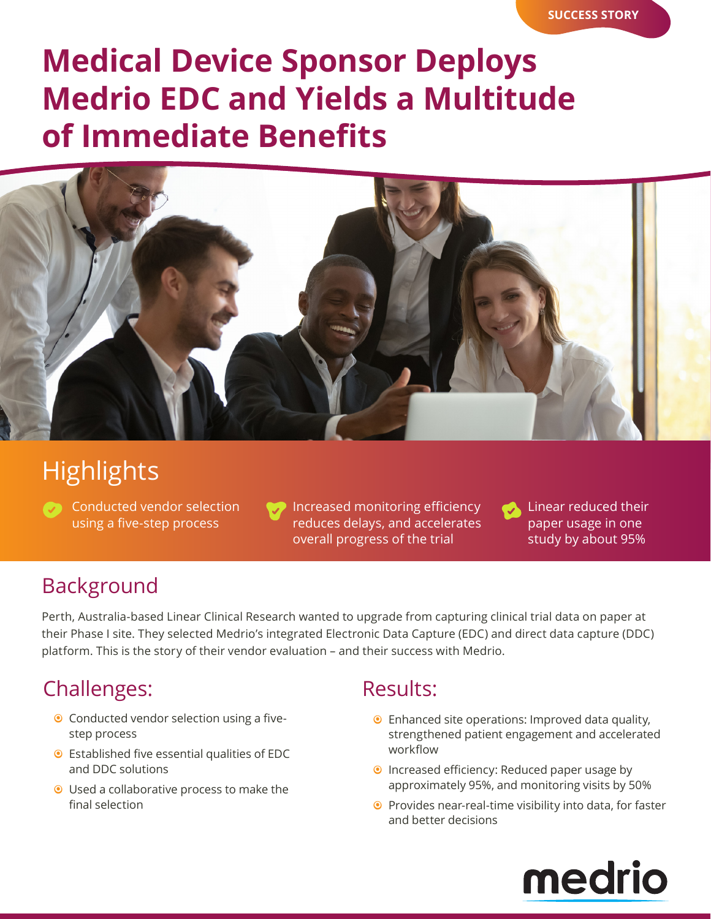# **Medical Device Sponsor Deploys Medrio EDC and Yields a Multitude of Immediate Benefits**



# **Highlights**

Conducted vendor selection using a five-step process

Increased monitoring efficiency reduces delays, and accelerates overall progress of the trial

Linear reduced their paper usage in one study by about 95%

### Background

Perth, Australia-based Linear Clinical Research wanted to upgrade from capturing clinical trial data on paper at their Phase I site. They selected Medrio's integrated Electronic Data Capture (EDC) and direct data capture (DDC) platform. This is the story of their vendor evaluation – and their success with Medrio.

## Challenges: Results:

- <sup>o</sup> Conducted vendor selection using a fivestep process
- Established five essential qualities of EDC and DDC solutions
- $\odot$  Used a collaborative process to make the final selection

- <sup>O</sup> Enhanced site operations: Improved data quality, strengthened patient engagement and accelerated workflow
- **•** Increased efficiency: Reduced paper usage by approximately 95%, and monitoring visits by 50%
- $\odot$  Provides near-real-time visibility into data, for faster and better decisions

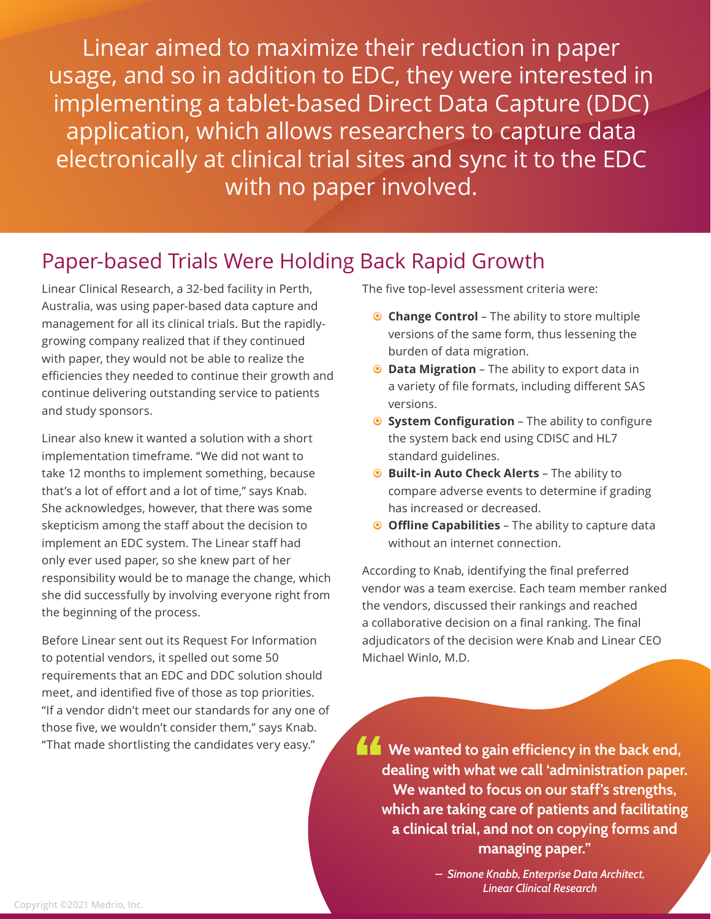Linear aimed to maximize their reduction in paper usage, and so in addition to EDC, they were interested in implementing a tablet-based Direct Data Capture (DDC) application, which allows researchers to capture data electronically at clinical trial sites and sync it to the EDC with no paper involved.

#### Paper-based Trials Were Holding Back Rapid Growth

Linear Clinical Research, a 32-bed facility in Perth, Australia, was using paper-based data capture and management for all its clinical trials. But the rapidlygrowing company realized that if they continued with paper, they would not be able to realize the efficiencies they needed to continue their growth and continue delivering outstanding service to patients and study sponsors.

Linear also knew it wanted a solution with a short implementation timeframe. "We did not want to take 12 months to implement something, because that's a lot of effort and a lot of time," says Knab. She acknowledges, however, that there was some skepticism among the staff about the decision to implement an EDC system. The Linear staff had only ever used paper, so she knew part of her responsibility would be to manage the change, which she did successfully by involving everyone right from the beginning of the process.

Before Linear sent out its Request For Information to potential vendors, it spelled out some 50 requirements that an EDC and DDC solution should meet, and identified five of those as top priorities. "If a vendor didn't meet our standards for any one of those five, we wouldn't consider them," says Knab. "That made shortlisting the candidates very easy."

The five top-level assessment criteria were:

- **Change Control** The ability to store multiple versions of the same form, thus lessening the burden of data migration.
- **Data Migration** The ability to export data in a variety of file formats, including different SAS versions.
- **System Configuration The ability to configure** the system back end using CDISC and HL7 standard guidelines.
- **8** Built-in Auto Check Alerts The ability to compare adverse events to determine if grading has increased or decreased.
- **O** Offline Capabilities The ability to capture data without an internet connection.

According to Knab, identifying the final preferred vendor was a team exercise. Each team member ranked the vendors, discussed their rankings and reached a collaborative decision on a final ranking. The final adjudicators of the decision were Knab and Linear CEO Michael Winlo, M.D.

**We wanted to gain efficiency in the back end, dealing with what we call 'administration paper. We wanted to focus on our staff's strengths, which are taking care of patients and facilitating a clinical trial, and not on copying forms and managing paper."**

> *– Simone Knabb, Enterprise Data Architect, Linear Clinical Research*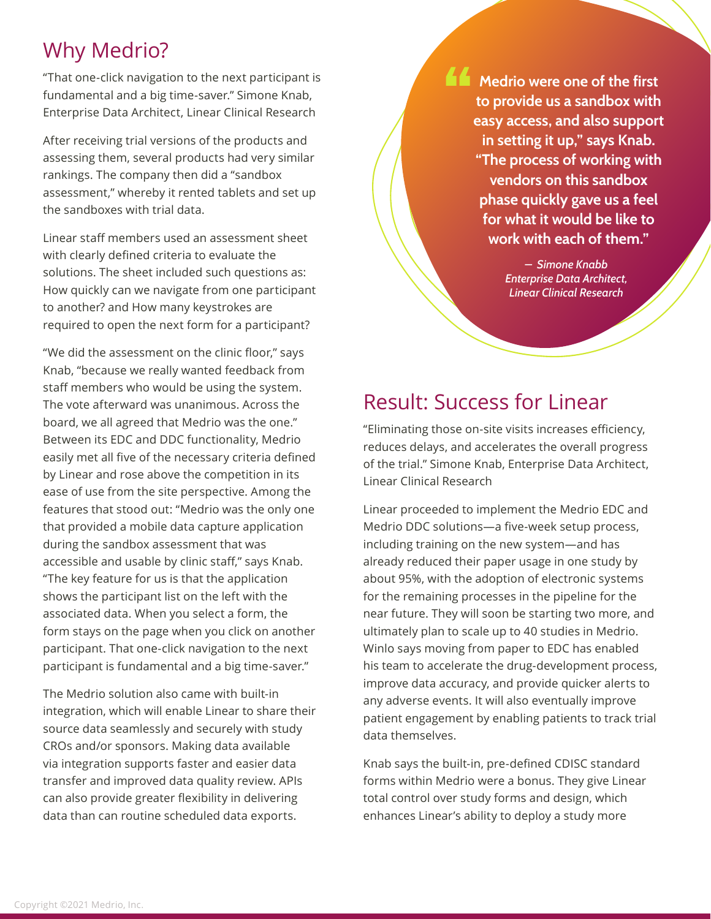## Why Medrio?

"That one-click navigation to the next participant is fundamental and a big time-saver." Simone Knab, Enterprise Data Architect, Linear Clinical Research

After receiving trial versions of the products and assessing them, several products had very similar rankings. The company then did a "sandbox assessment," whereby it rented tablets and set up the sandboxes with trial data.

Linear staff members used an assessment sheet with clearly defined criteria to evaluate the solutions. The sheet included such questions as: How quickly can we navigate from one participant to another? and How many keystrokes are required to open the next form for a participant?

"We did the assessment on the clinic floor," says Knab, "because we really wanted feedback from staff members who would be using the system. The vote afterward was unanimous. Across the board, we all agreed that Medrio was the one." Between its EDC and DDC functionality, Medrio easily met all five of the necessary criteria defined by Linear and rose above the competition in its ease of use from the site perspective. Among the features that stood out: "Medrio was the only one that provided a mobile data capture application during the sandbox assessment that was accessible and usable by clinic staff," says Knab. "The key feature for us is that the application shows the participant list on the left with the associated data. When you select a form, the form stays on the page when you click on another participant. That one-click navigation to the next participant is fundamental and a big time-saver."

The Medrio solution also came with built-in integration, which will enable Linear to share their source data seamlessly and securely with study CROs and/or sponsors. Making data available via integration supports faster and easier data transfer and improved data quality review. APIs can also provide greater flexibility in delivering data than can routine scheduled data exports.

**Medrio were one of the first to provide us a sandbox with easy access, and also support in setting it up," says Knab. "The process of working with vendors on this sandbox phase quickly gave us a feel for what it would be like to work with each of them."**

> *– Simone Knabb Enterprise Data Architect, Linear Clinical Research*

### Result: Success for Linear

"Eliminating those on-site visits increases efficiency, reduces delays, and accelerates the overall progress of the trial." Simone Knab, Enterprise Data Architect, Linear Clinical Research

Linear proceeded to implement the Medrio EDC and Medrio DDC solutions—a five-week setup process, including training on the new system—and has already reduced their paper usage in one study by about 95%, with the adoption of electronic systems for the remaining processes in the pipeline for the near future. They will soon be starting two more, and ultimately plan to scale up to 40 studies in Medrio. Winlo says moving from paper to EDC has enabled his team to accelerate the drug-development process, improve data accuracy, and provide quicker alerts to any adverse events. It will also eventually improve patient engagement by enabling patients to track trial data themselves.

Knab says the built-in, pre-defined CDISC standard forms within Medrio were a bonus. They give Linear total control over study forms and design, which enhances Linear's ability to deploy a study more